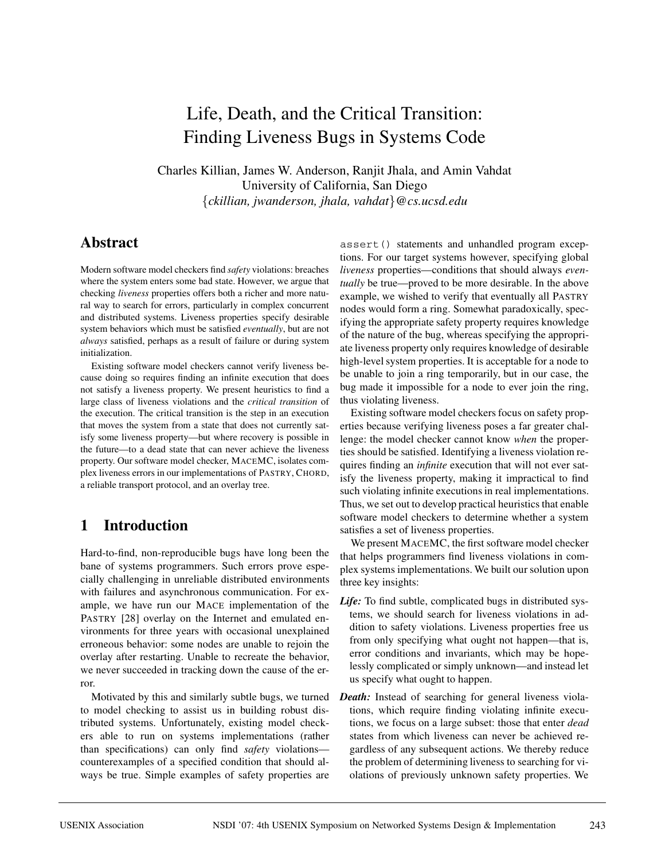# Life, Death, and the Critical Transition: Finding Liveness Bugs in Systems Code

Charles Killian, James W. Anderson, Ranjit Jhala, and Amin Vahdat University of California, San Diego {*ckillian, jwanderson, jhala, vahdat*}*@cs.ucsd.edu*

### **Abstract**

Modern software model checkers find *safety* violations: breaches where the system enters some bad state. However, we argue that checking *liveness* properties offers both a richer and more natural way to search for errors, particularly in complex concurrent and distributed systems. Liveness properties specify desirable system behaviors which must be satisfied *eventually*, but are not *always* satisfied, perhaps as a result of failure or during system initialization.

Existing software model checkers cannot verify liveness because doing so requires finding an infinite execution that does not satisfy a liveness property. We present heuristics to find a large class of liveness violations and the *critical transition* of the execution. The critical transition is the step in an execution that moves the system from a state that does not currently satisfy some liveness property—but where recovery is possible in the future—to a dead state that can never achieve the liveness property. Our software model checker, MACEMC, isolates complex liveness errors in our implementations of PASTRY, CHORD, a reliable transport protocol, and an overlay tree.

# **1 Introduction**

Hard-to-find, non-reproducible bugs have long been the bane of systems programmers. Such errors prove especially challenging in unreliable distributed environments with failures and asynchronous communication. For example, we have run our MACE implementation of the PASTRY [28] overlay on the Internet and emulated environments for three years with occasional unexplained erroneous behavior: some nodes are unable to rejoin the overlay after restarting. Unable to recreate the behavior, we never succeeded in tracking down the cause of the error.

Motivated by this and similarly subtle bugs, we turned to model checking to assist us in building robust distributed systems. Unfortunately, existing model checkers able to run on systems implementations (rather than specifications) can only find *safety* violations counterexamples of a specified condition that should always be true. Simple examples of safety properties are

assert() statements and unhandled program exceptions. For our target systems however, specifying global *liveness* properties—conditions that should always *eventually* be true—proved to be more desirable. In the above example, we wished to verify that eventually all PASTRY nodes would form a ring. Somewhat paradoxically, specifying the appropriate safety property requires knowledge of the nature of the bug, whereas specifying the appropriate liveness property only requires knowledge of desirable high-level system properties. It is acceptable for a node to be unable to join a ring temporarily, but in our case, the bug made it impossible for a node to ever join the ring, thus violating liveness.

Existing software model checkers focus on safety properties because verifying liveness poses a far greater challenge: the model checker cannot know *when* the properties should be satisfied. Identifying a liveness violation requires finding an *infinite* execution that will not ever satisfy the liveness property, making it impractical to find such violating infinite executions in real implementations. Thus, we set out to develop practical heuristics that enable software model checkers to determine whether a system satisfies a set of liveness properties.

We present MACEMC, the first software model checker that helps programmers find liveness violations in complex systems implementations. We built our solution upon three key insights:

- *Life:* To find subtle, complicated bugs in distributed systems, we should search for liveness violations in addition to safety violations. Liveness properties free us from only specifying what ought not happen—that is, error conditions and invariants, which may be hopelessly complicated or simply unknown—and instead let us specify what ought to happen.
- *Death:* Instead of searching for general liveness violations, which require finding violating infinite executions, we focus on a large subset: those that enter *dead* states from which liveness can never be achieved regardless of any subsequent actions. We thereby reduce the problem of determining liveness to searching for violations of previously unknown safety properties. We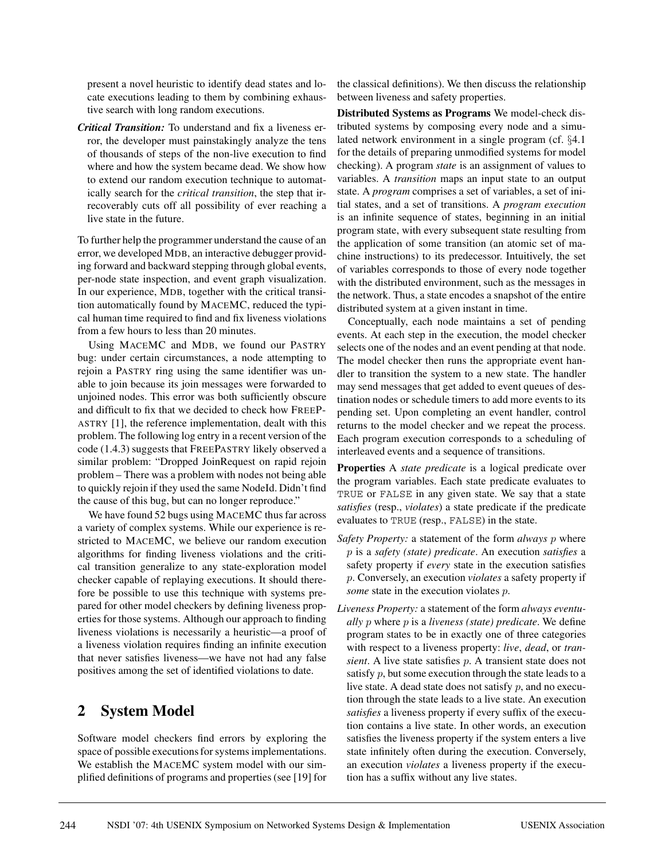present a novel heuristic to identify dead states and locate executions leading to them by combining exhaustive search with long random executions.

*Critical Transition:* To understand and fix a liveness error, the developer must painstakingly analyze the tens of thousands of steps of the non-live execution to find where and how the system became dead. We show how to extend our random execution technique to automatically search for the *critical transition*, the step that irrecoverably cuts off all possibility of ever reaching a live state in the future.

To further help the programmer understand the cause of an error, we developed MDB, an interactive debugger providing forward and backward stepping through global events, per-node state inspection, and event graph visualization. In our experience, MDB, together with the critical transition automatically found by MACEMC, reduced the typical human time required to find and fix liveness violations from a few hours to less than 20 minutes.

Using MACEMC and MDB, we found our PASTRY bug: under certain circumstances, a node attempting to rejoin a PASTRY ring using the same identifier was unable to join because its join messages were forwarded to unjoined nodes. This error was both sufficiently obscure and difficult to fix that we decided to check how FREEP-ASTRY [1], the reference implementation, dealt with this problem. The following log entry in a recent version of the code (1.4.3) suggests that FREEPASTRY likely observed a similar problem: "Dropped JoinRequest on rapid rejoin problem – There was a problem with nodes not being able to quickly rejoin if they used the same NodeId. Didn't find the cause of this bug, but can no longer reproduce."

We have found 52 bugs using MACEMC thus far across a variety of complex systems. While our experience is restricted to MACEMC, we believe our random execution algorithms for finding liveness violations and the critical transition generalize to any state-exploration model checker capable of replaying executions. It should therefore be possible to use this technique with systems prepared for other model checkers by defining liveness properties for those systems. Although our approach to finding liveness violations is necessarily a heuristic—a proof of a liveness violation requires finding an infinite execution that never satisfies liveness—we have not had any false positives among the set of identified violations to date.

# **2 System Model**

Software model checkers find errors by exploring the space of possible executions for systems implementations. We establish the MACEMC system model with our simplified definitions of programs and properties (see [19] for the classical definitions). We then discuss the relationship between liveness and safety properties.

**Distributed Systems as Programs** We model-check distributed systems by composing every node and a simulated network environment in a single program (cf. §4.1 for the details of preparing unmodified systems for model checking). A program *state* is an assignment of values to variables. A *transition* maps an input state to an output state. A *program* comprises a set of variables, a set of initial states, and a set of transitions. A *program execution* is an infinite sequence of states, beginning in an initial program state, with every subsequent state resulting from the application of some transition (an atomic set of machine instructions) to its predecessor. Intuitively, the set of variables corresponds to those of every node together with the distributed environment, such as the messages in the network. Thus, a state encodes a snapshot of the entire distributed system at a given instant in time.

Conceptually, each node maintains a set of pending events. At each step in the execution, the model checker selects one of the nodes and an event pending at that node. The model checker then runs the appropriate event handler to transition the system to a new state. The handler may send messages that get added to event queues of destination nodes or schedule timers to add more events to its pending set. Upon completing an event handler, control returns to the model checker and we repeat the process. Each program execution corresponds to a scheduling of interleaved events and a sequence of transitions.

**Properties** A *state predicate* is a logical predicate over the program variables. Each state predicate evaluates to TRUE or FALSE in any given state. We say that a state *satisfies* (resp., *violates*) a state predicate if the predicate evaluates to TRUE (resp., FALSE) in the state.

- *Safety Property:* a statement of the form *always* p where p is a *safety (state) predicate*. An execution *satisfies* a safety property if *every* state in the execution satisfies p. Conversely, an execution *violates* a safety property if *some* state in the execution violates *p*.
- *Liveness Property:* a statement of the form *always eventually* p where p is a *liveness (state) predicate*. We define program states to be in exactly one of three categories with respect to a liveness property: *live*, *dead*, or *transient*. A live state satisfies p. A transient state does not satisfy  $p$ , but some execution through the state leads to a live state. A dead state does not satisfy  $p$ , and no execution through the state leads to a live state. An execution *satisfies* a liveness property if every suffix of the execution contains a live state. In other words, an execution satisfies the liveness property if the system enters a live state infinitely often during the execution. Conversely, an execution *violates* a liveness property if the execution has a suffix without any live states.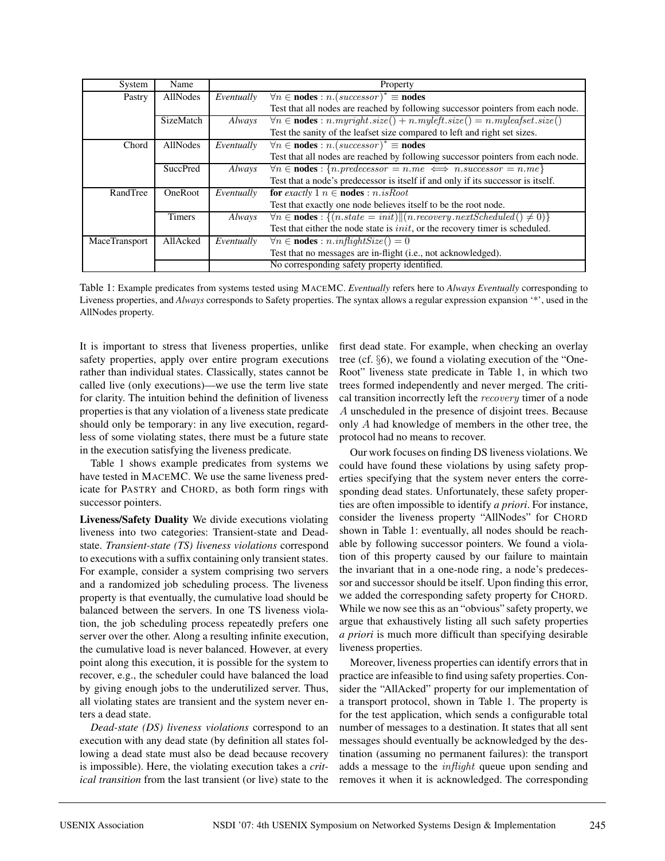| System               | Name                                         | Property   |                                                                                       |  |  |  |  |
|----------------------|----------------------------------------------|------------|---------------------------------------------------------------------------------------|--|--|--|--|
| Pastry               | AllNodes                                     | Eventually | $\forall n \in nodes : n.(successor)^* \equiv nodes$                                  |  |  |  |  |
|                      |                                              |            | Test that all nodes are reached by following successor pointers from each node.       |  |  |  |  |
|                      | SizeMatch                                    | Always     | $\forall n \in nodes : n.myright.size() + n.myleft.size() = n.myleafset.size()$       |  |  |  |  |
|                      |                                              |            | Test the sanity of the leafset size compared to left and right set sizes.             |  |  |  |  |
| Chord                | <b>AllNodes</b>                              | Eventually | $\forall n \in nodes : n.(successor)^* \equiv nodes$                                  |  |  |  |  |
|                      |                                              |            | Test that all nodes are reached by following successor pointers from each node.       |  |  |  |  |
|                      | <b>SuccPred</b>                              | Always     | $\forall n \in nodes : \{n,predecessor = n, me \iff nsuccessor = n, me\}$             |  |  |  |  |
|                      |                                              |            | Test that a node's predecessor is itself if and only if its successor is itself.      |  |  |  |  |
| RandTree             | <b>OneRoot</b>                               | Eventually | for exactly 1 $n \in \text{nodes} : n.isRoot$                                         |  |  |  |  |
|                      |                                              |            | Test that exactly one node believes itself to be the root node.                       |  |  |  |  |
|                      | <b>Timers</b>                                | Always     | $\forall n \in nodes : \{(n.state = init)    (n.recovery.next Scheduled() \neq 0)\}\$ |  |  |  |  |
|                      |                                              |            | Test that either the node state is <i>init</i> , or the recovery timer is scheduled.  |  |  |  |  |
| <b>MaceTransport</b> | AllAcked                                     | Eventually | $\forall n \in \textbf{nodes} : n.inflightSize() = 0$                                 |  |  |  |  |
|                      |                                              |            | Test that no messages are in-flight (i.e., not acknowledged).                         |  |  |  |  |
|                      | No corresponding safety property identified. |            |                                                                                       |  |  |  |  |

Table 1: Example predicates from systems tested using MACEMC. *Eventually* refers here to *Always Eventually* corresponding to Liveness properties, and *Always* corresponds to Safety properties. The syntax allows a regular expression expansion '\*', used in the AllNodes property.

It is important to stress that liveness properties, unlike safety properties, apply over entire program executions rather than individual states. Classically, states cannot be called live (only executions)—we use the term live state for clarity. The intuition behind the definition of liveness properties is that any violation of a liveness state predicate should only be temporary: in any live execution, regardless of some violating states, there must be a future state in the execution satisfying the liveness predicate.

Table 1 shows example predicates from systems we have tested in MACEMC. We use the same liveness predicate for PASTRY and CHORD, as both form rings with successor pointers.

**Liveness/Safety Duality** We divide executions violating liveness into two categories: Transient-state and Deadstate. *Transient-state (TS) liveness violations* correspond to executions with a suffix containing only transient states. For example, consider a system comprising two servers and a randomized job scheduling process. The liveness property is that eventually, the cumulative load should be balanced between the servers. In one TS liveness violation, the job scheduling process repeatedly prefers one server over the other. Along a resulting infinite execution, the cumulative load is never balanced. However, at every point along this execution, it is possible for the system to recover, e.g., the scheduler could have balanced the load by giving enough jobs to the underutilized server. Thus, all violating states are transient and the system never enters a dead state.

*Dead-state (DS) liveness violations* correspond to an execution with any dead state (by definition all states following a dead state must also be dead because recovery is impossible). Here, the violating execution takes a *critical transition* from the last transient (or live) state to the first dead state. For example, when checking an overlay tree (cf. §6), we found a violating execution of the "One-Root" liveness state predicate in Table 1, in which two trees formed independently and never merged. The critical transition incorrectly left the recovery timer of a node A unscheduled in the presence of disjoint trees. Because only A had knowledge of members in the other tree, the protocol had no means to recover.

Our work focuses on finding DS liveness violations. We could have found these violations by using safety properties specifying that the system never enters the corresponding dead states. Unfortunately, these safety properties are often impossible to identify *a priori*. For instance, consider the liveness property "AllNodes" for CHORD shown in Table 1: eventually, all nodes should be reachable by following successor pointers. We found a violation of this property caused by our failure to maintain the invariant that in a one-node ring, a node's predecessor and successor should be itself. Upon finding this error, we added the corresponding safety property for CHORD. While we now see this as an "obvious" safety property, we argue that exhaustively listing all such safety properties *a priori* is much more difficult than specifying desirable liveness properties.

Moreover, liveness properties can identify errors that in practice are infeasible to find using safety properties. Consider the "AllAcked" property for our implementation of a transport protocol, shown in Table 1. The property is for the test application, which sends a configurable total number of messages to a destination. It states that all sent messages should eventually be acknowledged by the destination (assuming no permanent failures): the transport adds a message to the inflight queue upon sending and removes it when it is acknowledged. The corresponding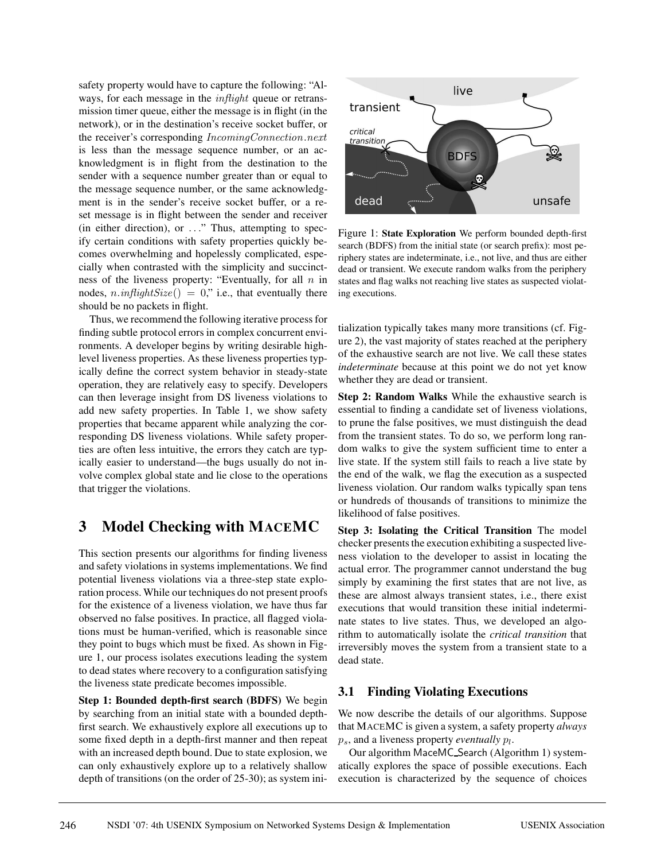safety property would have to capture the following: "Always, for each message in the *inflight* queue or retransmission timer queue, either the message is in flight (in the network), or in the destination's receive socket buffer, or the receiver's corresponding IncomingConnection.next is less than the message sequence number, or an acknowledgment is in flight from the destination to the sender with a sequence number greater than or equal to the message sequence number, or the same acknowledgment is in the sender's receive socket buffer, or a reset message is in flight between the sender and receiver (in either direction), or ..." Thus, attempting to specify certain conditions with safety properties quickly becomes overwhelming and hopelessly complicated, especially when contrasted with the simplicity and succinctness of the liveness property: "Eventually, for all  $n$  in nodes,  $n.inflightSize() = 0$ ," i.e., that eventually there should be no packets in flight.

Thus, we recommend the following iterative process for finding subtle protocol errors in complex concurrent environments. A developer begins by writing desirable highlevel liveness properties. As these liveness properties typically define the correct system behavior in steady-state operation, they are relatively easy to specify. Developers can then leverage insight from DS liveness violations to add new safety properties. In Table 1, we show safety properties that became apparent while analyzing the corresponding DS liveness violations. While safety properties are often less intuitive, the errors they catch are typically easier to understand—the bugs usually do not involve complex global state and lie close to the operations that trigger the violations.

# **3 Model Checking with MACEMC**

This section presents our algorithms for finding liveness and safety violations in systems implementations. We find potential liveness violations via a three-step state exploration process. While our techniques do not present proofs for the existence of a liveness violation, we have thus far observed no false positives. In practice, all flagged violations must be human-verified, which is reasonable since they point to bugs which must be fixed. As shown in Figure 1, our process isolates executions leading the system to dead states where recovery to a configuration satisfying the liveness state predicate becomes impossible.

**Step 1: Bounded depth-first search (BDFS)** We begin by searching from an initial state with a bounded depthfirst search. We exhaustively explore all executions up to some fixed depth in a depth-first manner and then repeat with an increased depth bound. Due to state explosion, we can only exhaustively explore up to a relatively shallow depth of transitions (on the order of 25-30); as system ini-



Figure 1: **State Exploration** We perform bounded depth-first search (BDFS) from the initial state (or search prefix): most periphery states are indeterminate, i.e., not live, and thus are either dead or transient. We execute random walks from the periphery states and flag walks not reaching live states as suspected violating executions.

tialization typically takes many more transitions (cf. Figure 2), the vast majority of states reached at the periphery of the exhaustive search are not live. We call these states *indeterminate* because at this point we do not yet know whether they are dead or transient.

**Step 2: Random Walks** While the exhaustive search is essential to finding a candidate set of liveness violations, to prune the false positives, we must distinguish the dead from the transient states. To do so, we perform long random walks to give the system sufficient time to enter a live state. If the system still fails to reach a live state by the end of the walk, we flag the execution as a suspected liveness violation. Our random walks typically span tens or hundreds of thousands of transitions to minimize the likelihood of false positives.

**Step 3: Isolating the Critical Transition** The model checker presents the execution exhibiting a suspected liveness violation to the developer to assist in locating the actual error. The programmer cannot understand the bug simply by examining the first states that are not live, as these are almost always transient states, i.e., there exist executions that would transition these initial indeterminate states to live states. Thus, we developed an algorithm to automatically isolate the *critical transition* that irreversibly moves the system from a transient state to a dead state.

#### **3.1 Finding Violating Executions**

We now describe the details of our algorithms. Suppose that MACEMC is given a system, a safety property *always*  $p_s$ , and a liveness property *eventually*  $p_l$ .

Our algorithm MaceMC Search (Algorithm 1) systematically explores the space of possible executions. Each execution is characterized by the sequence of choices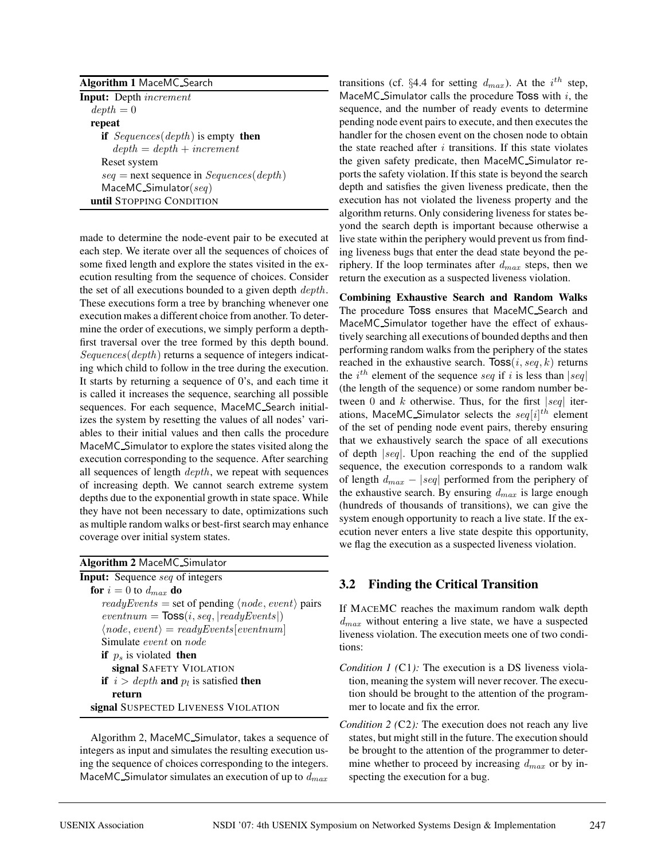| <b>Algorithm 1 MaceMC Search</b>            |  |  |  |  |  |  |
|---------------------------------------------|--|--|--|--|--|--|
| <b>Input:</b> Depth <i>increment</i>        |  |  |  |  |  |  |
| $depth = 0$                                 |  |  |  |  |  |  |
| repeat                                      |  |  |  |  |  |  |
| if $Sequences(depth)$ is empty then         |  |  |  |  |  |  |
| $depth = depth + increment$                 |  |  |  |  |  |  |
| Reset system                                |  |  |  |  |  |  |
| $seq =$ next sequence in $Sequences(depth)$ |  |  |  |  |  |  |
| $MaceMC$ . Simulator $(seq)$                |  |  |  |  |  |  |
| until STOPPING CONDITION                    |  |  |  |  |  |  |

made to determine the node-event pair to be executed at each step. We iterate over all the sequences of choices of some fixed length and explore the states visited in the execution resulting from the sequence of choices. Consider the set of all executions bounded to a given depth *depth*. These executions form a tree by branching whenever one execution makes a different choice from another. To determine the order of executions, we simply perform a depthfirst traversal over the tree formed by this depth bound. Sequences (depth) returns a sequence of integers indicating which child to follow in the tree during the execution. It starts by returning a sequence of 0's, and each time it is called it increases the sequence, searching all possible sequences. For each sequence, MaceMC Search initializes the system by resetting the values of all nodes' variables to their initial values and then calls the procedure MaceMC Simulator to explore the states visited along the execution corresponding to the sequence. After searching all sequences of length *depth*, we repeat with sequences of increasing depth. We cannot search extreme system depths due to the exponential growth in state space. While they have not been necessary to date, optimizations such as multiple random walks or best-first search may enhance coverage over initial system states.

Algorithm 2, MaceMC Simulator, takes a sequence of integers as input and simulates the resulting execution using the sequence of choices corresponding to the integers. MaceMC\_Simulator simulates an execution of up to  $d_{max}$ 

transitions (cf. §4.4 for setting  $d_{max}$ ). At the i<sup>th</sup> step, MaceMC Simulator calls the procedure Toss with  $i$ , the sequence, and the number of ready events to determine pending node event pairs to execute, and then executes the handler for the chosen event on the chosen node to obtain the state reached after  $i$  transitions. If this state violates the given safety predicate, then MaceMC Simulator reports the safety violation. If this state is beyond the search depth and satisfies the given liveness predicate, then the execution has not violated the liveness property and the algorithm returns. Only considering liveness for states beyond the search depth is important because otherwise a live state within the periphery would prevent us from finding liveness bugs that enter the dead state beyond the periphery. If the loop terminates after  $d_{max}$  steps, then we return the execution as a suspected liveness violation.

**Combining Exhaustive Search and Random Walks** The procedure Toss ensures that MaceMC Search and MaceMC Simulator together have the effect of exhaustively searching all executions of bounded depths and then performing random walks from the periphery of the states reached in the exhaustive search.  $Toss(i, seq, k)$  returns the  $i^{th}$  element of the sequence seq if i is less than  $|seq|$ (the length of the sequence) or some random number between 0 and k otherwise. Thus, for the first  $|seq|$  iterations, MaceMC\_Simulator selects the  $seq[i]^{th}$  element of the set of pending node event pairs, thereby ensuring that we exhaustively search the space of all executions of depth |seq|. Upon reaching the end of the supplied sequence, the execution corresponds to a random walk of length  $d_{max} - |seq|$  performed from the periphery of the exhaustive search. By ensuring  $d_{max}$  is large enough (hundreds of thousands of transitions), we can give the system enough opportunity to reach a live state. If the execution never enters a live state despite this opportunity, we flag the execution as a suspected liveness violation.

#### **3.2 Finding the Critical Transition**

If MACEMC reaches the maximum random walk depth  $d_{max}$  without entering a live state, we have a suspected liveness violation. The execution meets one of two conditions:

- *Condition 1 (C1):* The execution is a DS liveness violation, meaning the system will never recover. The execution should be brought to the attention of the programmer to locate and fix the error.
- *Condition 2 (*C2*):* The execution does not reach any live states, but might still in the future. The execution should be brought to the attention of the programmer to determine whether to proceed by increasing  $d_{max}$  or by inspecting the execution for a bug.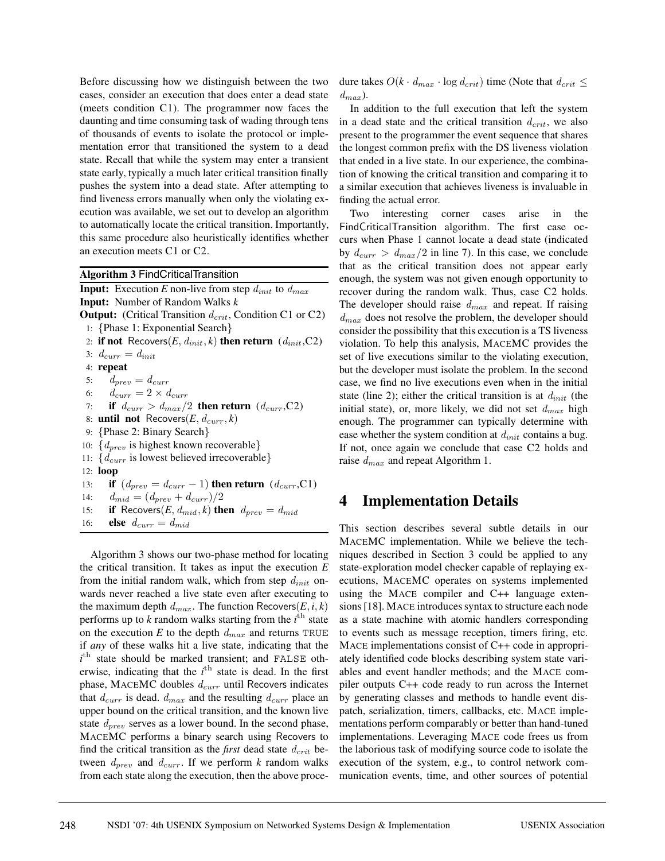Before discussing how we distinguish between the two cases, consider an execution that does enter a dead state (meets condition C1). The programmer now faces the daunting and time consuming task of wading through tens of thousands of events to isolate the protocol or implementation error that transitioned the system to a dead state. Recall that while the system may enter a transient state early, typically a much later critical transition finally pushes the system into a dead state. After attempting to find liveness errors manually when only the violating execution was available, we set out to develop an algorithm to automatically locate the critical transition. Importantly, this same procedure also heuristically identifies whether an execution meets C1 or C2.

**Algorithm 3** FindCriticalTransition **Input:** Execution *E* non-live from step  $d_{init}$  to  $d_{max}$ **Input:** Number of Random Walks *k* **Output:** (Critical Transition  $d_{crit}$ , Condition C1 or C2) 1: {Phase 1: Exponential Search} 2: **if not** Recovers $(E, d_{init}, k)$  then return  $(d_{init}, C2)$ 3:  $d_{curr} = d_{init}$ 4: **repeat** 5:  $d_{prev} = d_{curr}$ 6:  $d_{curr} = 2 \times d_{curr}$ 7: **if**  $d_{curr} > d_{max}/2$  **then return**  $(d_{curr}, C2)$ 8: **until not** Recovers $(E, d_{curr}, k)$ 9: {Phase 2: Binary Search} 10:  $\{d_{prev}$  is highest known recoverable} 11:  $\{d_{curr}$  is lowest believed irrecoverable} 12: **loop** 13: **if**  $(d_{prev} = d_{curr} - 1)$  **then return**  $(d_{curr}, C1)$ 14:  $d_{mid} = (d_{prev} + d_{curr})/2$ 15: **if** Recovers $(E, d_{mid}, k)$  then  $d_{prev} = d_{mid}$ 16: **else**  $d_{curr} = d_{mid}$ 

Algorithm 3 shows our two-phase method for locating the critical transition. It takes as input the execution *E* from the initial random walk, which from step  $d_{init}$  onwards never reached a live state even after executing to the maximum depth  $d_{max}$ . The function Recovers( $E$ ,  $i$ ,  $k$ ) performs up to  $k$  random walks starting from the  $i<sup>th</sup>$  state on the execution  $E$  to the depth  $d_{max}$  and returns TRUE if *any* of these walks hit a live state, indicating that the  $i$ <sup>th</sup> state should be marked transient; and FALSE otherwise, indicating that the *i*<sup>th</sup> state is dead. In the first phase, MACEMC doubles  $d_{curr}$  until Recovers indicates that  $d_{curr}$  is dead.  $d_{max}$  and the resulting  $d_{curr}$  place an upper bound on the critical transition, and the known live state  $d_{prev}$  serves as a lower bound. In the second phase, MACEMC performs a binary search using Recovers to find the critical transition as the *first* dead state  $d_{crit}$  between  $d_{prev}$  and  $d_{curr}$ . If we perform *k* random walks from each state along the execution, then the above procedure takes  $O(k \cdot d_{max} \cdot \log d_{crit})$  time (Note that  $d_{crit} \leq$  $d_{max}$ ).

In addition to the full execution that left the system in a dead state and the critical transition  $d_{crit}$ , we also present to the programmer the event sequence that shares the longest common prefix with the DS liveness violation that ended in a live state. In our experience, the combination of knowing the critical transition and comparing it to a similar execution that achieves liveness is invaluable in finding the actual error.

Two interesting corner cases arise in the FindCriticalTransition algorithm. The first case occurs when Phase 1 cannot locate a dead state (indicated by  $d_{curr} > d_{max}/2$  in line 7). In this case, we conclude that as the critical transition does not appear early enough, the system was not given enough opportunity to recover during the random walk. Thus, case C2 holds. The developer should raise  $d_{max}$  and repeat. If raising  $d_{max}$  does not resolve the problem, the developer should consider the possibility that this execution is a TS liveness violation. To help this analysis, MACEMC provides the set of live executions similar to the violating execution, but the developer must isolate the problem. In the second case, we find no live executions even when in the initial state (line 2); either the critical transition is at  $d_{init}$  (the initial state), or, more likely, we did not set  $d_{max}$  high enough. The programmer can typically determine with ease whether the system condition at  $d_{init}$  contains a bug. If not, once again we conclude that case C2 holds and raise  $d_{max}$  and repeat Algorithm 1.

### **4 Implementation Details**

This section describes several subtle details in our MACEMC implementation. While we believe the techniques described in Section 3 could be applied to any state-exploration model checker capable of replaying executions, MACEMC operates on systems implemented using the MACE compiler and C++ language extensions [18]. MACE introduces syntax to structure each node as a state machine with atomic handlers corresponding to events such as message reception, timers firing, etc. MACE implementations consist of C++ code in appropriately identified code blocks describing system state variables and event handler methods; and the MACE compiler outputs C++ code ready to run across the Internet by generating classes and methods to handle event dispatch, serialization, timers, callbacks, etc. MACE implementations perform comparably or better than hand-tuned implementations. Leveraging MACE code frees us from the laborious task of modifying source code to isolate the execution of the system, e.g., to control network communication events, time, and other sources of potential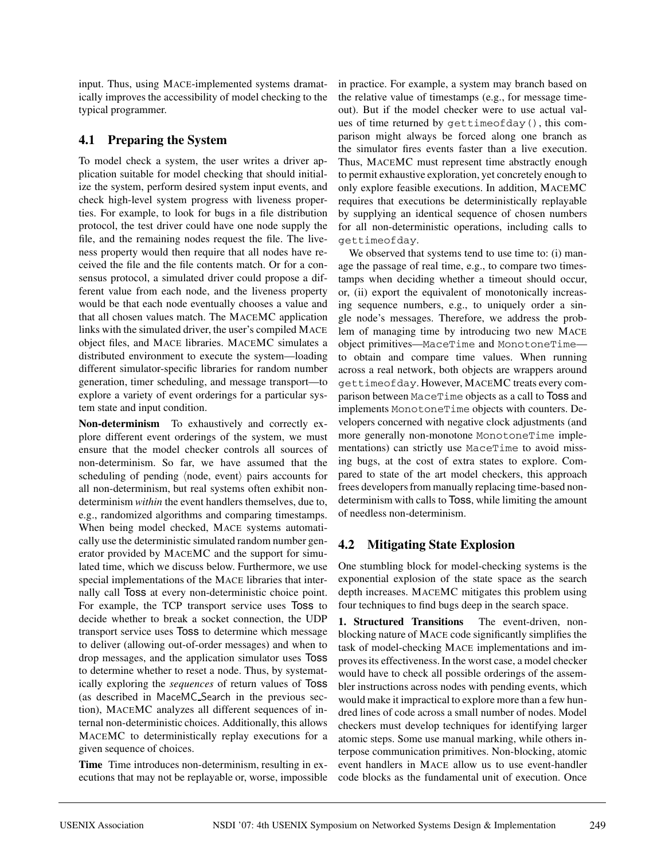input. Thus, using MACE-implemented systems dramatically improves the accessibility of model checking to the typical programmer.

### **4.1 Preparing the System**

To model check a system, the user writes a driver application suitable for model checking that should initialize the system, perform desired system input events, and check high-level system progress with liveness properties. For example, to look for bugs in a file distribution protocol, the test driver could have one node supply the file, and the remaining nodes request the file. The liveness property would then require that all nodes have received the file and the file contents match. Or for a consensus protocol, a simulated driver could propose a different value from each node, and the liveness property would be that each node eventually chooses a value and that all chosen values match. The MACEMC application links with the simulated driver, the user's compiled MACE object files, and MACE libraries. MACEMC simulates a distributed environment to execute the system—loading different simulator-specific libraries for random number generation, timer scheduling, and message transport—to explore a variety of event orderings for a particular system state and input condition.

**Non-determinism** To exhaustively and correctly explore different event orderings of the system, we must ensure that the model checker controls all sources of non-determinism. So far, we have assumed that the scheduling of pending  $\langle$  node, event $\rangle$  pairs accounts for all non-determinism, but real systems often exhibit nondeterminism *within* the event handlers themselves, due to, e.g., randomized algorithms and comparing timestamps. When being model checked, MACE systems automatically use the deterministic simulated random number generator provided by MACEMC and the support for simulated time, which we discuss below. Furthermore, we use special implementations of the MACE libraries that internally call Toss at every non-deterministic choice point. For example, the TCP transport service uses Toss to decide whether to break a socket connection, the UDP transport service uses Toss to determine which message to deliver (allowing out-of-order messages) and when to drop messages, and the application simulator uses Toss to determine whether to reset a node. Thus, by systematically exploring the *sequences* of return values of Toss (as described in MaceMC Search in the previous section), MACEMC analyzes all different sequences of internal non-deterministic choices. Additionally, this allows MACEMC to deterministically replay executions for a given sequence of choices.

**Time** Time introduces non-determinism, resulting in executions that may not be replayable or, worse, impossible in practice. For example, a system may branch based on the relative value of timestamps (e.g., for message timeout). But if the model checker were to use actual values of time returned by gettimeofday(), this comparison might always be forced along one branch as the simulator fires events faster than a live execution. Thus, MACEMC must represent time abstractly enough to permit exhaustive exploration, yet concretely enough to only explore feasible executions. In addition, MACEMC requires that executions be deterministically replayable by supplying an identical sequence of chosen numbers for all non-deterministic operations, including calls to gettimeofday.

We observed that systems tend to use time to: (i) manage the passage of real time, e.g., to compare two timestamps when deciding whether a timeout should occur, or, (ii) export the equivalent of monotonically increasing sequence numbers, e.g., to uniquely order a single node's messages. Therefore, we address the problem of managing time by introducing two new MACE object primitives—MaceTime and MonotoneTime to obtain and compare time values. When running across a real network, both objects are wrappers around gettimeofday. However, MACEMC treats every comparison between MaceTime objects as a call to Toss and implements MonotoneTime objects with counters. Developers concerned with negative clock adjustments (and more generally non-monotone MonotoneTime implementations) can strictly use MaceTime to avoid missing bugs, at the cost of extra states to explore. Compared to state of the art model checkers, this approach frees developers from manually replacing time-based nondeterminism with calls to Toss, while limiting the amount of needless non-determinism.

### **4.2 Mitigating State Explosion**

One stumbling block for model-checking systems is the exponential explosion of the state space as the search depth increases. MACEMC mitigates this problem using four techniques to find bugs deep in the search space.

**1. Structured Transitions** The event-driven, nonblocking nature of MACE code significantly simplifies the task of model-checking MACE implementations and improves its effectiveness. In the worst case, a model checker would have to check all possible orderings of the assembler instructions across nodes with pending events, which would make it impractical to explore more than a few hundred lines of code across a small number of nodes. Model checkers must develop techniques for identifying larger atomic steps. Some use manual marking, while others interpose communication primitives. Non-blocking, atomic event handlers in MACE allow us to use event-handler code blocks as the fundamental unit of execution. Once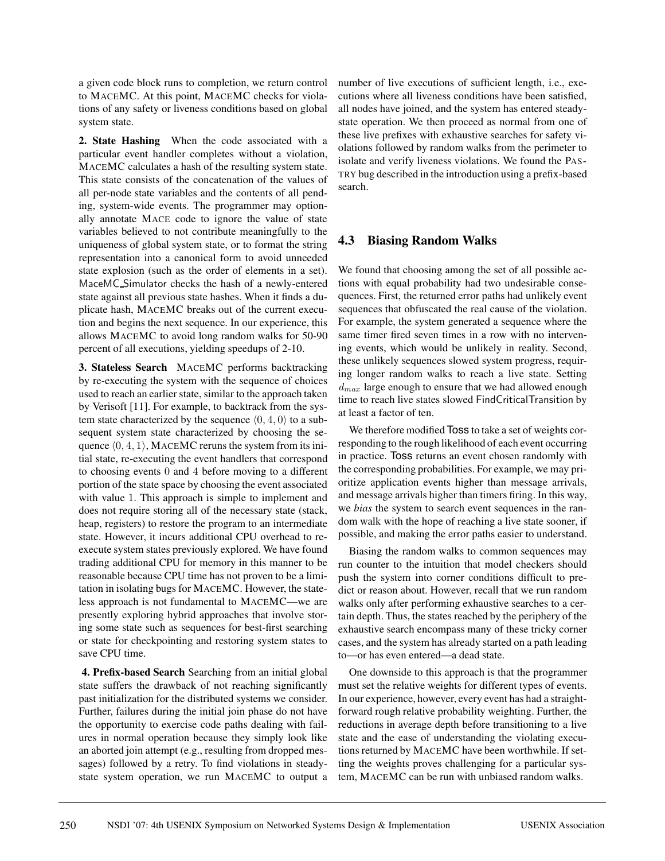a given code block runs to completion, we return control to MACEMC. At this point, MACEMC checks for violations of any safety or liveness conditions based on global system state.

**2. State Hashing** When the code associated with a particular event handler completes without a violation, MACEMC calculates a hash of the resulting system state. This state consists of the concatenation of the values of all per-node state variables and the contents of all pending, system-wide events. The programmer may optionally annotate MACE code to ignore the value of state variables believed to not contribute meaningfully to the uniqueness of global system state, or to format the string representation into a canonical form to avoid unneeded state explosion (such as the order of elements in a set). MaceMC Simulator checks the hash of a newly-entered state against all previous state hashes. When it finds a duplicate hash, MACEMC breaks out of the current execution and begins the next sequence. In our experience, this allows MACEMC to avoid long random walks for 50-90 percent of all executions, yielding speedups of 2-10.

**3. Stateless Search** MACEMC performs backtracking by re-executing the system with the sequence of choices used to reach an earlier state, similar to the approach taken by Verisoft [11]. For example, to backtrack from the system state characterized by the sequence  $(0, 4, 0)$  to a subsequent system state characterized by choosing the sequence  $\langle 0, 4, 1 \rangle$ , MACEMC reruns the system from its initial state, re-executing the event handlers that correspond to choosing events 0 and 4 before moving to a different portion of the state space by choosing the event associated with value 1. This approach is simple to implement and does not require storing all of the necessary state (stack, heap, registers) to restore the program to an intermediate state. However, it incurs additional CPU overhead to reexecute system states previously explored. We have found trading additional CPU for memory in this manner to be reasonable because CPU time has not proven to be a limitation in isolating bugs for MACEMC. However, the stateless approach is not fundamental to MACEMC—we are presently exploring hybrid approaches that involve storing some state such as sequences for best-first searching or state for checkpointing and restoring system states to save CPU time.

**4. Prefix-based Search** Searching from an initial global state suffers the drawback of not reaching significantly past initialization for the distributed systems we consider. Further, failures during the initial join phase do not have the opportunity to exercise code paths dealing with failures in normal operation because they simply look like an aborted join attempt (e.g., resulting from dropped messages) followed by a retry. To find violations in steadystate system operation, we run MACEMC to output a number of live executions of sufficient length, i.e., executions where all liveness conditions have been satisfied, all nodes have joined, and the system has entered steadystate operation. We then proceed as normal from one of these live prefixes with exhaustive searches for safety violations followed by random walks from the perimeter to isolate and verify liveness violations. We found the PAS-TRY bug described in the introduction using a prefix-based search.

#### **4.3 Biasing Random Walks**

We found that choosing among the set of all possible actions with equal probability had two undesirable consequences. First, the returned error paths had unlikely event sequences that obfuscated the real cause of the violation. For example, the system generated a sequence where the same timer fired seven times in a row with no intervening events, which would be unlikely in reality. Second, these unlikely sequences slowed system progress, requiring longer random walks to reach a live state. Setting  $d_{max}$  large enough to ensure that we had allowed enough time to reach live states slowed FindCriticalTransition by at least a factor of ten.

We therefore modified Toss to take a set of weights corresponding to the rough likelihood of each event occurring in practice. Toss returns an event chosen randomly with the corresponding probabilities. For example, we may prioritize application events higher than message arrivals, and message arrivals higher than timers firing. In this way, we *bias* the system to search event sequences in the random walk with the hope of reaching a live state sooner, if possible, and making the error paths easier to understand.

Biasing the random walks to common sequences may run counter to the intuition that model checkers should push the system into corner conditions difficult to predict or reason about. However, recall that we run random walks only after performing exhaustive searches to a certain depth. Thus, the states reached by the periphery of the exhaustive search encompass many of these tricky corner cases, and the system has already started on a path leading to—or has even entered—a dead state.

One downside to this approach is that the programmer must set the relative weights for different types of events. In our experience, however, every event has had a straightforward rough relative probability weighting. Further, the reductions in average depth before transitioning to a live state and the ease of understanding the violating executions returned by MACEMC have been worthwhile. If setting the weights proves challenging for a particular system, MACEMC can be run with unbiased random walks.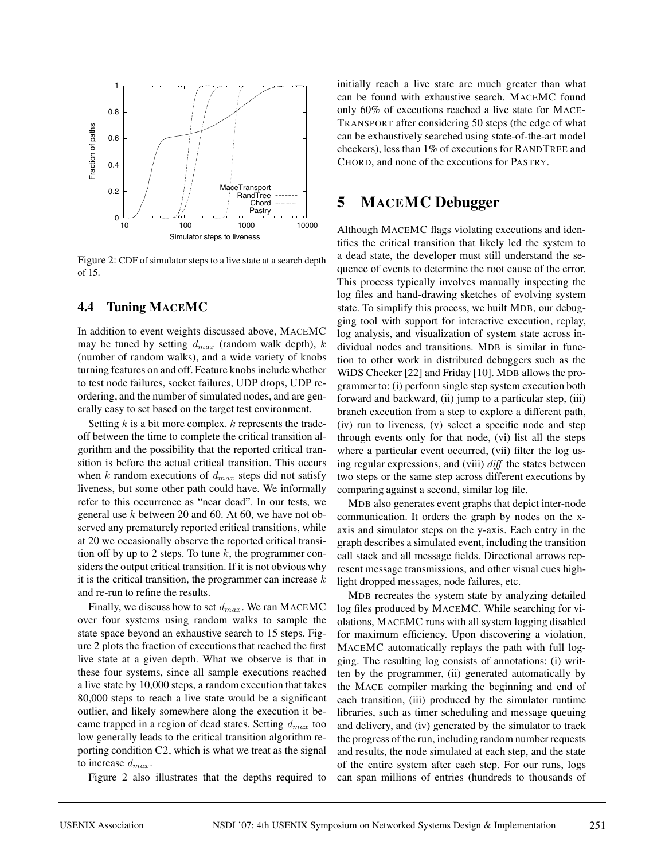

Figure 2: CDF of simulator steps to a live state at a search depth of 15.

#### **4.4 Tuning MACEMC**

In addition to event weights discussed above, MACEMC may be tuned by setting  $d_{max}$  (random walk depth), k (number of random walks), and a wide variety of knobs turning features on and off. Feature knobs include whether to test node failures, socket failures, UDP drops, UDP reordering, and the number of simulated nodes, and are generally easy to set based on the target test environment.

Setting  $k$  is a bit more complex.  $k$  represents the tradeoff between the time to complete the critical transition algorithm and the possibility that the reported critical transition is before the actual critical transition. This occurs when k random executions of  $d_{max}$  steps did not satisfy liveness, but some other path could have. We informally refer to this occurrence as "near dead". In our tests, we general use  $k$  between 20 and 60. At 60, we have not observed any prematurely reported critical transitions, while at 20 we occasionally observe the reported critical transition off by up to 2 steps. To tune  $k$ , the programmer considers the output critical transition. If it is not obvious why it is the critical transition, the programmer can increase  $k$ and re-run to refine the results.

Finally, we discuss how to set  $d_{max}$ . We ran MACEMC over four systems using random walks to sample the state space beyond an exhaustive search to 15 steps. Figure 2 plots the fraction of executions that reached the first live state at a given depth. What we observe is that in these four systems, since all sample executions reached a live state by 10,000 steps, a random execution that takes 80,000 steps to reach a live state would be a significant outlier, and likely somewhere along the execution it became trapped in a region of dead states. Setting  $d_{max}$  too low generally leads to the critical transition algorithm reporting condition C2, which is what we treat as the signal to increase  $d_{max}$ .

Figure 2 also illustrates that the depths required to

initially reach a live state are much greater than what can be found with exhaustive search. MACEMC found only 60% of executions reached a live state for MACE-TRANSPORT after considering 50 steps (the edge of what can be exhaustively searched using state-of-the-art model checkers), less than 1% of executions for RANDTREE and CHORD, and none of the executions for PASTRY.

#### **5 MACEMC Debugger**

Although MACEMC flags violating executions and identifies the critical transition that likely led the system to a dead state, the developer must still understand the sequence of events to determine the root cause of the error. This process typically involves manually inspecting the log files and hand-drawing sketches of evolving system state. To simplify this process, we built MDB, our debugging tool with support for interactive execution, replay, log analysis, and visualization of system state across individual nodes and transitions. MDB is similar in function to other work in distributed debuggers such as the WiDS Checker [22] and Friday [10]. MDB allows the programmer to: (i) perform single step system execution both forward and backward, (ii) jump to a particular step, (iii) branch execution from a step to explore a different path, (iv) run to liveness, (v) select a specific node and step through events only for that node, (vi) list all the steps where a particular event occurred, (vii) filter the log using regular expressions, and (viii) *diff* the states between two steps or the same step across different executions by comparing against a second, similar log file.

MDB also generates event graphs that depict inter-node communication. It orders the graph by nodes on the xaxis and simulator steps on the y-axis. Each entry in the graph describes a simulated event, including the transition call stack and all message fields. Directional arrows represent message transmissions, and other visual cues highlight dropped messages, node failures, etc.

MDB recreates the system state by analyzing detailed log files produced by MACEMC. While searching for violations, MACEMC runs with all system logging disabled for maximum efficiency. Upon discovering a violation, MACEMC automatically replays the path with full logging. The resulting log consists of annotations: (i) written by the programmer, (ii) generated automatically by the MACE compiler marking the beginning and end of each transition, (iii) produced by the simulator runtime libraries, such as timer scheduling and message queuing and delivery, and (iv) generated by the simulator to track the progress of the run, including random number requests and results, the node simulated at each step, and the state of the entire system after each step. For our runs, logs can span millions of entries (hundreds to thousands of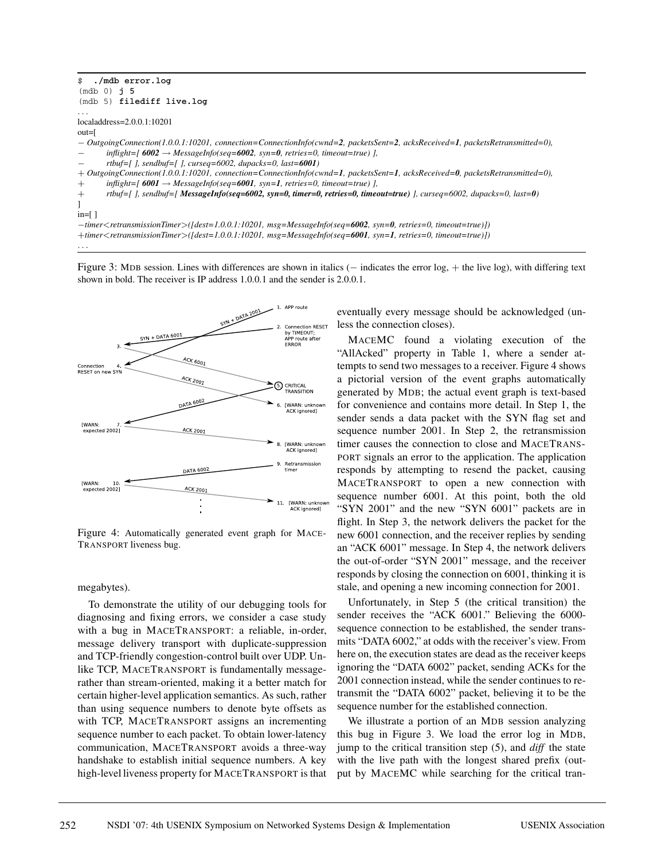```
$ ./mdb error.log
(mdb 0) j 5
(mdb 5) filediff live.log
. . .
localaddress=2.0.0.1:10201
out=[
− OutgoingConnection(1.0.0.1:10201, connection=ConnectionInfo(cwnd=2, packetsSent=2, acksReceived=1, packetsRetransmitted=0),
       in flight=[ 6002 → MessageInfo(seq=6002, syn=0, retries=0, timeout=true) ],
       − rtbuf=[ ], sendbuf=[ ], curseq=6002, dupacks=0, last=6001)
+ OutgoingConnection(1.0.0.1:10201, connection=ConnectionInfo(cwnd=1, packetsSent=1, acksReceived=0, packetsRetransmitted=0),
+ inflight=[ 6001 → MessageInfo(seq=6001, syn=1, retries=0, timeout=true) ],
+ rtbuf=[ ], sendbuf=[ MessageInfo(seq=6002, syn=0, timer=0, retries=0, timeout=true) ], curseq=6002, dupacks=0, last=0)
]
in=[ ]
−timer<retransmissionTimer>([dest=1.0.0.1:10201, msg=MessageInfo(seq=6002, syn=0, retries=0, timeout=true)])
+timer<retransmissionTimer>([dest=1.0.0.1:10201, msg=MessageInfo(seq=6001, syn=1, retries=0, timeout=true)])
```
...

Figure 3: MDB session. Lines with differences are shown in italics (− indicates the error log, + the live log), with differing text shown in bold. The receiver is IP address 1.0.0.1 and the sender is 2.0.0.1.



Figure 4: Automatically generated event graph for MACE-TRANSPORT liveness bug.

#### megabytes).

To demonstrate the utility of our debugging tools for diagnosing and fixing errors, we consider a case study with a bug in MACETRANSPORT: a reliable, in-order, message delivery transport with duplicate-suppression and TCP-friendly congestion-control built over UDP. Unlike TCP, MACETRANSPORT is fundamentally messagerather than stream-oriented, making it a better match for certain higher-level application semantics. As such, rather than using sequence numbers to denote byte offsets as with TCP, MACETRANSPORT assigns an incrementing sequence number to each packet. To obtain lower-latency communication, MACETRANSPORT avoids a three-way handshake to establish initial sequence numbers. A key high-level liveness property for MACETRANSPORT is that eventually every message should be acknowledged (unless the connection closes).

MACEMC found a violating execution of the "AllAcked" property in Table 1, where a sender attempts to send two messages to a receiver. Figure 4 shows a pictorial version of the event graphs automatically generated by MDB; the actual event graph is text-based for convenience and contains more detail. In Step 1, the sender sends a data packet with the SYN flag set and sequence number 2001. In Step 2, the retransmission timer causes the connection to close and MACETRANS-PORT signals an error to the application. The application responds by attempting to resend the packet, causing MACETRANSPORT to open a new connection with sequence number 6001. At this point, both the old "SYN 2001" and the new "SYN 6001" packets are in flight. In Step 3, the network delivers the packet for the new 6001 connection, and the receiver replies by sending an "ACK 6001" message. In Step 4, the network delivers the out-of-order "SYN 2001" message, and the receiver responds by closing the connection on 6001, thinking it is stale, and opening a new incoming connection for 2001.

Unfortunately, in Step 5 (the critical transition) the sender receives the "ACK 6001." Believing the 6000 sequence connection to be established, the sender transmits "DATA 6002," at odds with the receiver's view. From here on, the execution states are dead as the receiver keeps ignoring the "DATA 6002" packet, sending ACKs for the 2001 connection instead, while the sender continues to retransmit the "DATA 6002" packet, believing it to be the sequence number for the established connection.

We illustrate a portion of an MDB session analyzing this bug in Figure 3. We load the error log in MDB, jump to the critical transition step (5), and *diff* the state with the live path with the longest shared prefix (output by MACEMC while searching for the critical tran-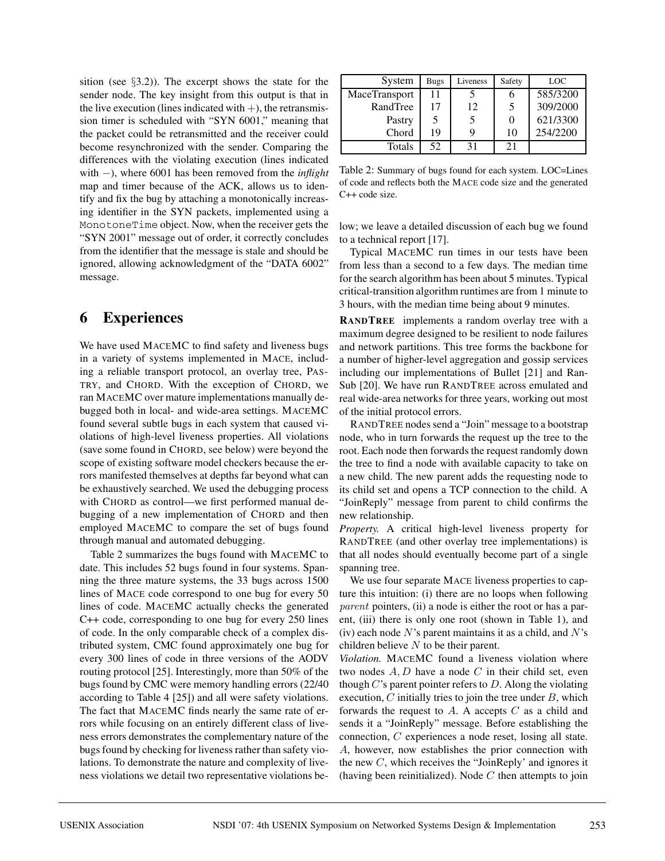sition (see  $\S$ 3.2)). The excerpt shows the state for the sender node. The key insight from this output is that in the live execution (lines indicated with  $+)$ , the retransmission timer is scheduled with "SYN 6001," meaning that the packet could be retransmitted and the receiver could become resynchronized with the sender. Comparing the differences with the violating execution (lines indicated with −), where 6001 has been removed from the *inflight* map and timer because of the ACK, allows us to identify and fix the bug by attaching a monotonically increasing identifier in the SYN packets, implemented using a MonotoneTime object. Now, when the receiver gets the "SYN 2001" message out of order, it correctly concludes from the identifier that the message is stale and should be ignored, allowing acknowledgment of the "DATA 6002" message.

# **6 Experiences**

We have used MACEMC to find safety and liveness bugs in a variety of systems implemented in MACE, including a reliable transport protocol, an overlay tree, PAS-TRY, and CHORD. With the exception of CHORD, we ran MACEMC over mature implementations manually debugged both in local- and wide-area settings. MACEMC found several subtle bugs in each system that caused violations of high-level liveness properties. All violations (save some found in CHORD, see below) were beyond the scope of existing software model checkers because the errors manifested themselves at depths far beyond what can be exhaustively searched. We used the debugging process with CHORD as control—we first performed manual debugging of a new implementation of CHORD and then employed MACEMC to compare the set of bugs found through manual and automated debugging.

Table 2 summarizes the bugs found with MACEMC to date. This includes 52 bugs found in four systems. Spanning the three mature systems, the 33 bugs across 1500 lines of MACE code correspond to one bug for every 50 lines of code. MACEMC actually checks the generated C++ code, corresponding to one bug for every 250 lines of code. In the only comparable check of a complex distributed system, CMC found approximately one bug for every 300 lines of code in three versions of the AODV routing protocol [25]. Interestingly, more than 50% of the bugs found by CMC were memory handling errors (22/40 according to Table 4 [25]) and all were safety violations. The fact that MACEMC finds nearly the same rate of errors while focusing on an entirely different class of liveness errors demonstrates the complementary nature of the bugs found by checking for liveness rather than safety violations. To demonstrate the nature and complexity of liveness violations we detail two representative violations be-

| System        | <b>Bugs</b> | Liveness | Safety | LOC      |
|---------------|-------------|----------|--------|----------|
| MaceTransport | 11          |          |        | 585/3200 |
| RandTree      | 17          | 12       | 5      | 309/2000 |
| Pastry        |             | 5        |        | 621/3300 |
| Chord         | 19          | Q        | 10     | 254/2200 |
| Totals        | 52          |          |        |          |

Table 2: Summary of bugs found for each system. LOC=Lines of code and reflects both the MACE code size and the generated C++ code size.

low; we leave a detailed discussion of each bug we found to a technical report [17].

Typical MACEMC run times in our tests have been from less than a second to a few days. The median time for the search algorithm has been about 5 minutes. Typical critical-transition algorithm runtimes are from 1 minute to 3 hours, with the median time being about 9 minutes.

**RANDTREE** implements a random overlay tree with a maximum degree designed to be resilient to node failures and network partitions. This tree forms the backbone for a number of higher-level aggregation and gossip services including our implementations of Bullet [21] and Ran-Sub [20]. We have run RANDTREE across emulated and real wide-area networks for three years, working out most of the initial protocol errors.

RANDTREE nodes send a "Join" message to a bootstrap node, who in turn forwards the request up the tree to the root. Each node then forwards the request randomly down the tree to find a node with available capacity to take on a new child. The new parent adds the requesting node to its child set and opens a TCP connection to the child. A "JoinReply" message from parent to child confirms the new relationship.

*Property.* A critical high-level liveness property for RANDTREE (and other overlay tree implementations) is that all nodes should eventually become part of a single spanning tree.

We use four separate MACE liveness properties to capture this intuition: (i) there are no loops when following parent pointers, (ii) a node is either the root or has a parent, (iii) there is only one root (shown in Table 1), and (iv) each node  $N$ 's parent maintains it as a child, and  $N$ 's children believe  $N$  to be their parent.

*Violation.* MACEMC found a liveness violation where two nodes  $A, D$  have a node  $C$  in their child set, even though  $C$ 's parent pointer refers to  $D$ . Along the violating execution,  $C$  initially tries to join the tree under  $B$ , which forwards the request to  $A$ . A accepts  $C$  as a child and sends it a "JoinReply" message. Before establishing the connection, C experiences a node reset, losing all state. A, however, now establishes the prior connection with the new  $C$ , which receives the "JoinReply' and ignores it (having been reinitialized). Node  $C$  then attempts to join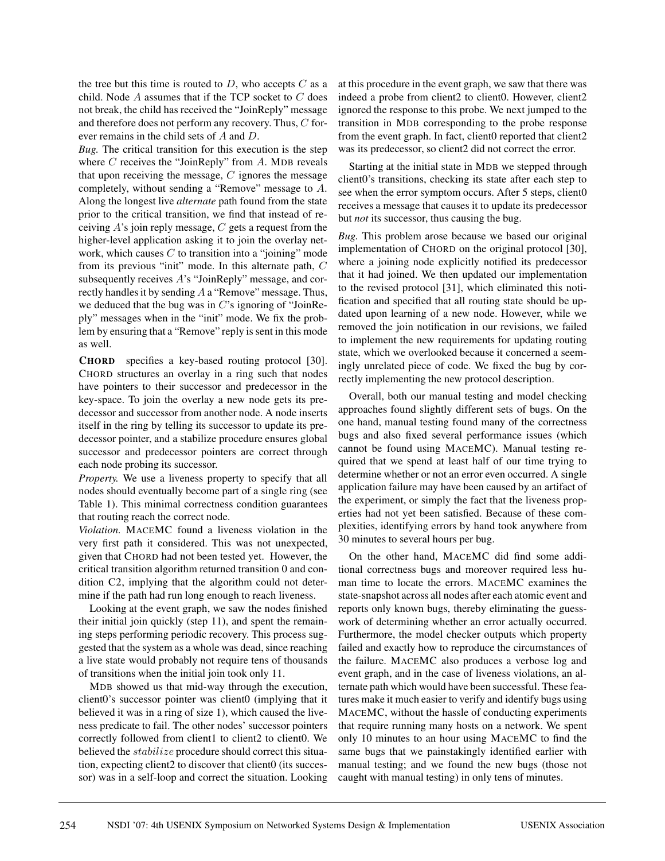the tree but this time is routed to  $D$ , who accepts  $C$  as a child. Node A assumes that if the TCP socket to C does not break, the child has received the "JoinReply" message and therefore does not perform any recovery. Thus, C forever remains in the child sets of A and D.

*Bug.* The critical transition for this execution is the step where  $C$  receives the "JoinReply" from  $A$ . MDB reveals that upon receiving the message,  $C$  ignores the message completely, without sending a "Remove" message to A. Along the longest live *alternate* path found from the state prior to the critical transition, we find that instead of receiving  $A$ 's join reply message,  $C$  gets a request from the higher-level application asking it to join the overlay network, which causes  $C$  to transition into a "joining" mode from its previous "init" mode. In this alternate path, C subsequently receives A's "JoinReply" message, and correctly handles it by sending A a "Remove" message. Thus, we deduced that the bug was in  $C$ 's ignoring of "JoinReply" messages when in the "init" mode. We fix the problem by ensuring that a "Remove" reply is sent in this mode as well.

**CHORD** specifies a key-based routing protocol [30]. CHORD structures an overlay in a ring such that nodes have pointers to their successor and predecessor in the key-space. To join the overlay a new node gets its predecessor and successor from another node. A node inserts itself in the ring by telling its successor to update its predecessor pointer, and a stabilize procedure ensures global successor and predecessor pointers are correct through each node probing its successor.

*Property.* We use a liveness property to specify that all nodes should eventually become part of a single ring (see Table 1). This minimal correctness condition guarantees that routing reach the correct node.

*Violation.* MACEMC found a liveness violation in the very first path it considered. This was not unexpected, given that CHORD had not been tested yet. However, the critical transition algorithm returned transition 0 and condition C2, implying that the algorithm could not determine if the path had run long enough to reach liveness.

Looking at the event graph, we saw the nodes finished their initial join quickly (step 11), and spent the remaining steps performing periodic recovery. This process suggested that the system as a whole was dead, since reaching a live state would probably not require tens of thousands of transitions when the initial join took only 11.

MDB showed us that mid-way through the execution, client0's successor pointer was client0 (implying that it believed it was in a ring of size 1), which caused the liveness predicate to fail. The other nodes' successor pointers correctly followed from client1 to client2 to client0. We believed the stabilize procedure should correct this situation, expecting client2 to discover that client0 (its successor) was in a self-loop and correct the situation. Looking at this procedure in the event graph, we saw that there was indeed a probe from client2 to client0. However, client2 ignored the response to this probe. We next jumped to the transition in MDB corresponding to the probe response from the event graph. In fact, client0 reported that client2 was its predecessor, so client2 did not correct the error.

Starting at the initial state in MDB we stepped through client0's transitions, checking its state after each step to see when the error symptom occurs. After 5 steps, client0 receives a message that causes it to update its predecessor but *not* its successor, thus causing the bug.

*Bug.* This problem arose because we based our original implementation of CHORD on the original protocol [30], where a joining node explicitly notified its predecessor that it had joined. We then updated our implementation to the revised protocol [31], which eliminated this notification and specified that all routing state should be updated upon learning of a new node. However, while we removed the join notification in our revisions, we failed to implement the new requirements for updating routing state, which we overlooked because it concerned a seemingly unrelated piece of code. We fixed the bug by correctly implementing the new protocol description.

Overall, both our manual testing and model checking approaches found slightly different sets of bugs. On the one hand, manual testing found many of the correctness bugs and also fixed several performance issues (which cannot be found using MACEMC). Manual testing required that we spend at least half of our time trying to determine whether or not an error even occurred. A single application failure may have been caused by an artifact of the experiment, or simply the fact that the liveness properties had not yet been satisfied. Because of these complexities, identifying errors by hand took anywhere from 30 minutes to several hours per bug.

On the other hand, MACEMC did find some additional correctness bugs and moreover required less human time to locate the errors. MACEMC examines the state-snapshot across all nodes after each atomic event and reports only known bugs, thereby eliminating the guesswork of determining whether an error actually occurred. Furthermore, the model checker outputs which property failed and exactly how to reproduce the circumstances of the failure. MACEMC also produces a verbose log and event graph, and in the case of liveness violations, an alternate path which would have been successful. These features make it much easier to verify and identify bugs using MACEMC, without the hassle of conducting experiments that require running many hosts on a network. We spent only 10 minutes to an hour using MACEMC to find the same bugs that we painstakingly identified earlier with manual testing; and we found the new bugs (those not caught with manual testing) in only tens of minutes.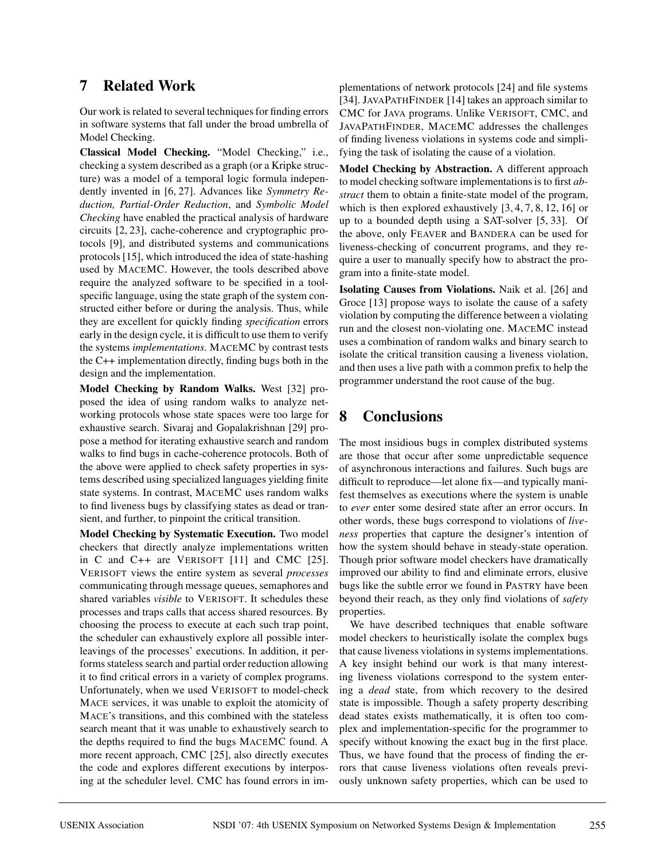# **7 Related Work**

Our work is related to several techniques for finding errors in software systems that fall under the broad umbrella of Model Checking.

**Classical Model Checking.** "Model Checking," i.e., checking a system described as a graph (or a Kripke structure) was a model of a temporal logic formula independently invented in [6, 27]. Advances like *Symmetry Reduction, Partial-Order Reduction*, and *Symbolic Model Checking* have enabled the practical analysis of hardware circuits [2, 23], cache-coherence and cryptographic protocols [9], and distributed systems and communications protocols [15], which introduced the idea of state-hashing used by MACEMC. However, the tools described above require the analyzed software to be specified in a toolspecific language, using the state graph of the system constructed either before or during the analysis. Thus, while they are excellent for quickly finding *specification* errors early in the design cycle, it is difficult to use them to verify the systems *implementations*. MACEMC by contrast tests the C++ implementation directly, finding bugs both in the design and the implementation.

**Model Checking by Random Walks.** West [32] proposed the idea of using random walks to analyze networking protocols whose state spaces were too large for exhaustive search. Sivaraj and Gopalakrishnan [29] propose a method for iterating exhaustive search and random walks to find bugs in cache-coherence protocols. Both of the above were applied to check safety properties in systems described using specialized languages yielding finite state systems. In contrast, MACEMC uses random walks to find liveness bugs by classifying states as dead or transient, and further, to pinpoint the critical transition.

**Model Checking by Systematic Execution.** Two model checkers that directly analyze implementations written in C and C++ are VERISOFT [11] and CMC [25]. VERISOFT views the entire system as several *processes* communicating through message queues, semaphores and shared variables *visible* to VERISOFT. It schedules these processes and traps calls that access shared resources. By choosing the process to execute at each such trap point, the scheduler can exhaustively explore all possible interleavings of the processes' executions. In addition, it performs stateless search and partial order reduction allowing it to find critical errors in a variety of complex programs. Unfortunately, when we used VERISOFT to model-check MACE services, it was unable to exploit the atomicity of MACE's transitions, and this combined with the stateless search meant that it was unable to exhaustively search to the depths required to find the bugs MACEMC found. A more recent approach, CMC [25], also directly executes the code and explores different executions by interposing at the scheduler level. CMC has found errors in implementations of network protocols [24] and file systems [34]. JAVAPATHFINDER [14] takes an approach similar to CMC for JAVA programs. Unlike VERISOFT, CMC, and JAVAPATHFINDER, MACEMC addresses the challenges of finding liveness violations in systems code and simplifying the task of isolating the cause of a violation.

**Model Checking by Abstraction.** A different approach to model checking software implementations is to first *abstract* them to obtain a finite-state model of the program, which is then explored exhaustively [3, 4, 7, 8, 12, 16] or up to a bounded depth using a SAT-solver [5, 33]. Of the above, only FEAVER and BANDERA can be used for liveness-checking of concurrent programs, and they require a user to manually specify how to abstract the program into a finite-state model.

**Isolating Causes from Violations.** Naik et al. [26] and Groce [13] propose ways to isolate the cause of a safety violation by computing the difference between a violating run and the closest non-violating one. MACEMC instead uses a combination of random walks and binary search to isolate the critical transition causing a liveness violation, and then uses a live path with a common prefix to help the programmer understand the root cause of the bug.

# **8 Conclusions**

The most insidious bugs in complex distributed systems are those that occur after some unpredictable sequence of asynchronous interactions and failures. Such bugs are difficult to reproduce—let alone fix—and typically manifest themselves as executions where the system is unable to *ever* enter some desired state after an error occurs. In other words, these bugs correspond to violations of *liveness* properties that capture the designer's intention of how the system should behave in steady-state operation. Though prior software model checkers have dramatically improved our ability to find and eliminate errors, elusive bugs like the subtle error we found in PASTRY have been beyond their reach, as they only find violations of *safety* properties.

We have described techniques that enable software model checkers to heuristically isolate the complex bugs that cause liveness violations in systems implementations. A key insight behind our work is that many interesting liveness violations correspond to the system entering a *dead* state, from which recovery to the desired state is impossible. Though a safety property describing dead states exists mathematically, it is often too complex and implementation-specific for the programmer to specify without knowing the exact bug in the first place. Thus, we have found that the process of finding the errors that cause liveness violations often reveals previously unknown safety properties, which can be used to